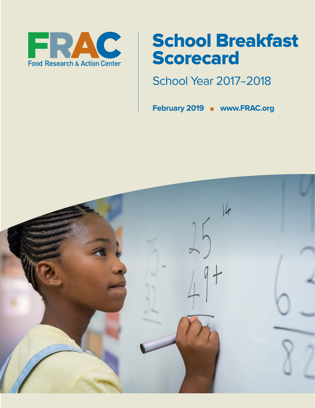

# School Breakfast Scorecard

School Year 2017–2018

**February 2019 n www.FRAC.org** 

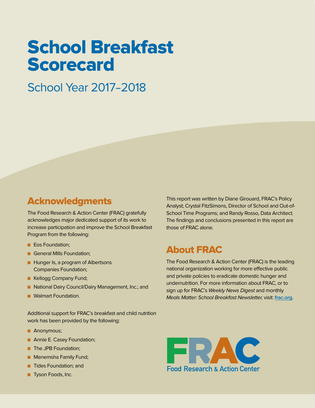# School Breakfast Scorecard

# School Year 2017–2018

# Acknowledgments

The Food Research & Action Center (FRAC) gratefully acknowledges major dedicated support of its work to increase participation and improve the School Breakfast Program from the following:

- Eos Foundation:
- **n** General Mills Foundation;
- **Hunger Is, a program of Albertsons** Companies Foundation;
- **E** Kellogg Company Fund;
- National Dairy Council/Dairy Management, Inc.; and
- **N** Walmart Foundation.

Additional support for FRAC's breakfast and child nutrition work has been provided by the following:

- **Anonymous;**
- **n** Annie E. Casey Foundation;
- **n** The JPB Foundation;
- **n** Menemsha Family Fund;
- **n** Tides Foundation; and
- **n** Tyson Foods, Inc.

This report was written by Diane Girouard, FRAC's Policy Analyst; Crystal FitzSimons, Director of School and Out-of-School Time Programs; and Randy Rosso, Data Architect. The findings and conclusions presented in this report are those of FRAC alone.

# About FRAC

The Food Research & Action Center (FRAC) is the leading national organization working for more effective public and private policies to eradicate domestic hunger and undernutrition. For more information about FRAC, or to sign up for FRAC's Weekly News Digest and monthly Meals Matter: School Breakfast Newsletter, visit: **[frac.org](http://www.frac.org)**.

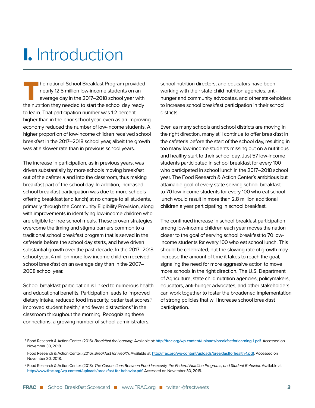# I. Introduction

The national School Breakfast Program provided<br>nearly 12.5 million low-income students on an<br>average day in the 2017–2018 school year with nearly 12.5 million low-income students on an average day in the 2017–2018 school year with the nutrition they needed to start the school day ready to learn. That participation number was 1.2 percent higher than in the prior school year, even as an improving economy reduced the number of low-income students. A higher proportion of low-income children received school breakfast in the 2017–2018 school year, albeit the growth was at a slower rate than in previous school years.

The increase in participation, as in previous years, was driven substantially by more schools moving breakfast out of the cafeteria and into the classroom, thus making breakfast part of the school day. In addition, increased school breakfast participation was due to more schools offering breakfast (and lunch) at no charge to all students, primarily through the Community Eligibility Provision, along with improvements in identifying low-income children who are eligible for free school meals. These proven strategies overcome the timing and stigma barriers common to a traditional school breakfast program that is served in the cafeteria before the school day starts, and have driven substantial growth over the past decade. In the 2017–2018 school year, 4 million more low-income children received school breakfast on an average day than in the 2007– 2008 school year.

School breakfast participation is linked to numerous health and educational benefits. Participation leads to improved dietary intake, reduced food insecurity, better test scores,<sup>1</sup> improved student health, $2$  and fewer distractions $3$  in the classroom throughout the morning. Recognizing these connections, a growing number of school administrators,

school nutrition directors, and educators have been working with their state child nutrition agencies, antihunger and community advocates, and other stakeholders to increase school breakfast participation in their school districts.

Even as many schools and school districts are moving in the right direction, many still continue to offer breakfast in the cafeteria before the start of the school day, resulting in too many low-income students missing out on a nutritious and healthy start to their school day. Just 57 low-income students participated in school breakfast for every 100 who participated in school lunch in the 2017–2018 school year. The Food Research & Action Center's ambitious but attainable goal of every state serving school breakfast to 70 low-income students for every 100 who eat school lunch would result in more than 2.8 million additional children a year participating in school breakfast.

The continued increase in school breakfast participation among low-income children each year moves the nation closer to the goal of serving school breakfast to 70 lowincome students for every 100 who eat school lunch. This should be celebrated, but the slowing rate of growth may increase the amount of time it takes to reach the goal, signaling the need for more aggressive action to move more schools in the right direction. The U.S. Department of Agriculture, state child nutrition agencies, policymakers, educators, anti-hunger advocates, and other stakeholders can work together to foster the broadened implementation of strong policies that will increase school breakfast participation.

<sup>1</sup> Food Research & Action Center. (2016). Breakfast for Learning. Available at: **<http://frac.org/wp-content/uploads/breakfastforlearning-1.pdf>**. Accessed on November 30, 2018.

<sup>2</sup> Food Research & Action Center. (2016). Breakfast for Health. Available at: **<http://frac.org/wp-content/uploads/breakfastforhealth-1.pdf>**. Accessed on November 30, 2018.

<sup>&</sup>lt;sup>3</sup> Food Research & Action Center. (2018). The Connections Between Food Insecurity, the Federal Nutrition Programs, and Student Behavior. Available at: **<http://www.frac.org/wp-content/uploads/breakfast-for-behavior.pdf>**. Accessed on November 30, 2018.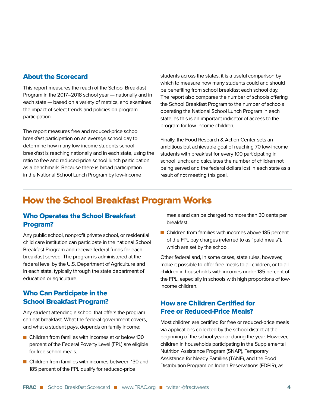# About the Scorecard

This report measures the reach of the School Breakfast Program in the 2017–2018 school year — nationally and in each state — based on a variety of metrics, and examines the impact of select trends and policies on program participation.

The report measures free and reduced-price school breakfast participation on an average school day to determine how many low-income students school breakfast is reaching nationally and in each state, using the ratio to free and reduced-price school lunch participation as a benchmark. Because there is broad participation in the National School Lunch Program by low-income

students across the states, it is a useful comparison by which to measure how many students could and should be benefiting from school breakfast each school day. The report also compares the number of schools offering the School Breakfast Program to the number of schools operating the National School Lunch Program in each state, as this is an important indicator of access to the program for low-income children.

Finally, the Food Research & Action Center sets an ambitious but achievable goal of reaching 70 low-income students with breakfast for every 100 participating in school lunch; and calculates the number of children not being served and the federal dollars lost in each state as a result of not meeting this goal.

# How the School Breakfast Program Works

# Who Operates the School Breakfast Program?

Any public school, nonprofit private school, or residential child care institution can participate in the national School Breakfast Program and receive federal funds for each breakfast served. The program is administered at the federal level by the U.S. Department of Agriculture and in each state, typically through the state department of education or agriculture.

# Who Can Participate in the School Breakfast Program?

Any student attending a school that offers the program can eat breakfast. What the federal government covers, and what a student pays, depends on family income:

- $\blacksquare$  Children from families with incomes at or below 130 percent of the Federal Poverty Level (FPL) are eligible for free school meals.
- $\blacksquare$  Children from families with incomes between 130 and 185 percent of the FPL qualify for reduced-price

meals and can be charged no more than 30 cents per breakfast.

 $\blacksquare$  Children from families with incomes above 185 percent of the FPL pay charges (referred to as "paid meals"), which are set by the school.

Other federal and, in some cases, state rules, however, make it possible to offer free meals to all children, or to all children in households with incomes under 185 percent of the FPL, especially in schools with high proportions of lowincome children.

# How are Children Certified for Free or Reduced-Price Meals?

Most children are certified for free or reduced-price meals via applications collected by the school district at the beginning of the school year or during the year. However, children in households participating in the Supplemental Nutrition Assistance Program (SNAP), Temporary Assistance for Needy Families (TANF), and the Food Distribution Program on Indian Reservations (FDPIR), as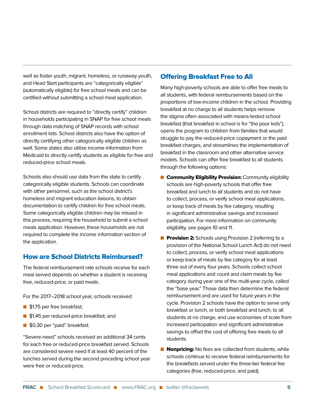well as foster youth, migrant, homeless, or runaway youth, and Head Start participants are "categorically eligible" (automatically eligible) for free school meals and can be certified without submitting a school meal application.

School districts are required to "directly certify" children in households participating in SNAP for free school meals through data matching of SNAP records with school enrollment lists. School districts also have the option of directly certifying other categorically eligible children as well. Some states also utilize income information from Medicaid to directly certify students as eligible for free and reduced-price school meals.

Schools also should use data from the state to certify categorically eligible students. Schools can coordinate with other personnel, such as the school district's homeless and migrant education liaisons, to obtain documentation to certify children for free school meals. Some categorically eligible children may be missed in this process, requiring the household to submit a school meals application. However, these households are not required to complete the income information section of the application.

## How are School Districts Reimbursed?

The federal reimbursement rate schools receive for each meal served depends on whether a student is receiving free, reduced-price, or paid meals.

For the 2017–2018 school year, schools received

- **n** \$1.75 per free breakfast;
- **n** \$1.45 per reduced-price breakfast; and
- \$0.30 per "paid" breakfast.

"Severe-need" schools received an additional 34 cents for each free or reduced-price breakfast served. Schools are considered severe need if at least 40 percent of the lunches served during the second preceding school year were free or reduced-price.

### Offering Breakfast Free to All

Many high-poverty schools are able to offer free meals to all students, with federal reimbursements based on the proportions of low-income children in the school. Providing breakfast at no charge to all students helps remove the stigma often associated with means-tested school breakfast (that breakfast in school is for "the poor kids"), opens the program to children from families that would struggle to pay the reduced-price copayment or the paid breakfast charges, and streamlines the implementation of breakfast in the classroom and other alternative service models. Schools can offer free breakfast to all students through the following options:

- **n Community Eligibility Provision:** Community eligibility schools are high-poverty schools that offer free breakfast and lunch to all students and do not have to collect, process, or verify school meal applications, or keep track of meals by fee category, resulting in significant administrative savings and increased participation. For more information on community eligibility, see pages 10 and 11.
- **Provision 2:** Schools using Provision 2 (referring to a provision of the National School Lunch Act) do not need to collect, process, or verify school meal applications or keep track of meals by fee category for at least three out of every four years. Schools collect school meal applications and count and claim meals by fee category during year one of the multi-year cycle, called the "base year." Those data then determine the federal reimbursement and are used for future years in the cycle. Provision 2 schools have the option to serve only breakfast or lunch, or both breakfast and lunch, to all students at no charge, and use economies of scale from increased participation and significant administrative savings to offset the cost of offering free meals to all students.
- **Nonpricing:** No fees are collected from students, while schools continue to receive federal reimbursements for the breakfasts served under the three-tier federal fee categories (free, reduced-price, and paid).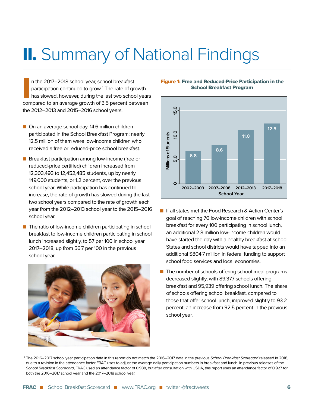# II. Summary of National Findings

n the 2017–2018 school year, school breakfast<br>participation continued to grow.<sup>4</sup> The rate of growth<br>has slowed, however, during the last two school years<br>compared to an average growth of 3.5 percent between n the 2017–2018 school year, school breakfast participation continued to grow.<sup>4</sup> The rate of growth has slowed, however, during the last two school years the 2012–2013 and 2015–2016 school years.

- On an average school day, 14.6 million children participated in the School Breakfast Program; nearly 12.5 million of them were low-income children who received a free or reduced-price school breakfast.
- Breakfast participation among low-income (free or reduced-price certified) children increased from 12,303,493 to 12,452,485 students, up by nearly 149,000 students, or 1.2 percent, over the previous school year. While participation has continued to increase, the rate of growth has slowed during the last two school years compared to the rate of growth each year from the 2012–2013 school year to the 2015–2016 school year.
- $\blacksquare$  The ratio of low-income children participating in school breakfast to low-income children participating in school lunch increased slightly, to 57 per 100 in school year 2017–2018, up from 56.7 per 100 in the previous school year.



Figure 1: Free and Reduced-Price Participation in the School Breakfast Program



- **n** If all states met the Food Research & Action Center's goal of reaching 70 low-income children with school breakfast for every 100 participating in school lunch, an additional 2.8 million low-income children would have started the day with a healthy breakfast at school. States and school districts would have tapped into an additional \$804.7 million in federal funding to support school food services and local economies.
- $\blacksquare$  The number of schools offering school meal programs decreased slightly, with 89,377 schools offering breakfast and 95,939 offering school lunch. The share of schools offering school breakfast, compared to those that offer school lunch, improved slightly to 93.2 percent, an increase from 92.5 percent in the previous school year.

<sup>4</sup> The 2016–2017 school year participation data in this report do not match the 2016–2017 data in the previous School Breakfast Scorecard released in 2018, due to a revision in the attendance factor FRAC uses to adjust the average daily participation numbers in breakfast and lunch. In previous releases of the School Breakfast Scorecard, FRAC used an attendance factor of 0.938, but after consultation with USDA, this report uses an attendance factor of 0.927 for both the 2016–2017 school year and the 2017–2018 school year.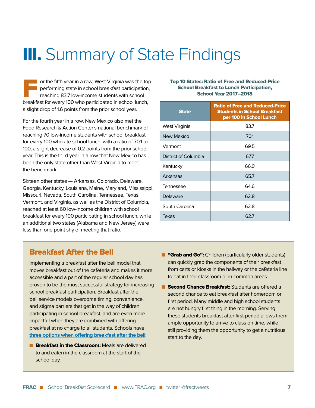# **III.** Summary of State Findings

or the fifth year in a row, West Virginia was the topperforming state in school breakfast participation, reaching 83.7 low-income students with school breakfast for every 100 who participated in school lunch, a slight drop of 1.6 points from the prior school year.

For the fourth year in a row, New Mexico also met the Food Research & Action Center's national benchmark of reaching 70 low-income students with school breakfast for every 100 who ate school lunch, with a ratio of 70.1 to 100, a slight decrease of 0.2 points from the prior school year. This is the third year in a row that New Mexico has been the only state other than West Virginia to meet the benchmark.

Sixteen other states — Arkansas, Colorado, Delaware, Georgia, Kentucky, Louisiana, Maine, Maryland, Mississippi, Missouri, Nevada, South Carolina, Tennessee, Texas, Vermont, and Virginia, as well as the District of Columbia, reached at least 60 low-income children with school breakfast for every 100 participating in school lunch, while an additional two states (Alabama and New Jersey) were less than one point shy of meeting that ratio.

#### Top 10 States: Ratio of Free and Reduced-Price School Breakfast to Lunch Participation, School Year 2017–2018

| <b>State</b>         | <b>Ratio of Free and Reduced-Price</b><br><b>Students in School Breakfast</b><br>per 100 in School Lunch |
|----------------------|----------------------------------------------------------------------------------------------------------|
| West Virginia        | 83.7                                                                                                     |
| New Mexico           | 70.1                                                                                                     |
| Vermont              | 69.5                                                                                                     |
| District of Columbia | 67.7                                                                                                     |
| Kentucky             | 66.0                                                                                                     |
| Arkansas             | 65.7                                                                                                     |
| Tennessee            | 64.6                                                                                                     |
| Delaware             | 62.8                                                                                                     |
| South Carolina       | 62.8                                                                                                     |
| Texas                | 62.7                                                                                                     |

# Breakfast After the Bell

Implementing a breakfast after the bell model that moves breakfast out of the cafeteria and makes it more accessible and a part of the regular school day has proven to be the most successful strategy for increasing school breakfast participation. Breakfast after the bell service models overcome timing, convenience, and stigma barriers that get in the way of children participating in school breakfast, and are even more impactful when they are combined with offering breakfast at no charge to all students. Schools have **[three options when offering breakfast after the bell](http://frac.org/wp-content/uploads/how_it_works_bic_fact_sheet.pdf)**:

**E** Breakfast in the Classroom: Meals are delivered to and eaten in the classroom at the start of the school day.

- **n** "Grab and Go": Children (particularly older students) can quickly grab the components of their breakfast from carts or kiosks in the hallway or the cafeteria line to eat in their classroom or in common areas.
- **n Second Chance Breakfast:** Students are offered a second chance to eat breakfast after homeroom or first period. Many middle and high school students are not hungry first thing in the morning. Serving these students breakfast after first period allows them ample opportunity to arrive to class on time, while still providing them the opportunity to get a nutritious start to the day.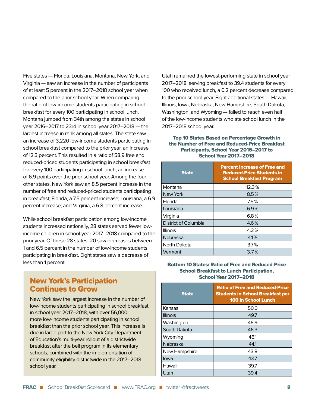Five states — Florida, Louisiana, Montana, New York, and Virginia — saw an increase in the number of participants of at least 5 percent in the 2017–2018 school year when compared to the prior school year. When comparing the ratio of low-income students participating in school breakfast for every 100 participating in school lunch, Montana jumped from 34th among the states in school year 2016–2017 to 23rd in school year 2017–2018 — the largest increase in rank among all states. The state saw an increase of 3,220 low-income students participating in school breakfast compared to the prior year, an increase of 12.3 percent. This resulted in a ratio of 58.9 free and reduced-priced students participating in school breakfast for every 100 participating in school lunch, an increase of 6.9 points over the prior school year. Among the four other states, New York saw an 8.5 percent increase in the number of free and reduced-priced students participating in breakfast; Florida, a 7.5 percent increase; Louisiana, a 6.9 percent increase; and Virginia, a 6.8 percent increase.

While school breakfast participation among low-income students increased nationally, 28 states served fewer lowincome children in school year 2017–2018 compared to the prior year. Of these 28 states, 20 saw decreases between 1 and 6.5 percent in the number of low-income students participating in breakfast. Eight states saw a decrease of less than 1 percent.

# New York's Participation Continues to Grow

New York saw the largest increase in the number of low-income students participating in school breakfast in school year 2017–2018, with over 56,000 more low-income students participating in school breakfast than the prior school year. This increase is due in large part to the New York City Department of Education's multi-year rollout of a districtwide breakfast after the bell program in its elementary schools, combined with the implementation of community eligibility districtwide in the 2017–2018 school year.

Utah remained the lowest-performing state in school year 2017–2018, serving breakfast to 39.4 students for every 100 who received lunch, a 0.2 percent decrease compared to the prior school year. Eight additional states — Hawaii, Illinois, Iowa, Nebraska, New Hampshire, South Dakota, Washington, and Wyoming — failed to reach even half of the low-income students who ate school lunch in the 2017–2018 school year.

#### Top 10 States Based on Percentage Growth in the Number of Free and Reduced-Price Breakfast Participants, School Year 2016–2017 to School Year 2017–2018

| <b>State</b>         | <b>Percent Increase of Free and</b><br><b>Reduced-Price Students in</b><br><b>School Breakfast Program</b> |
|----------------------|------------------------------------------------------------------------------------------------------------|
| Montana              | 12.3%                                                                                                      |
| New York             | 8.5%                                                                                                       |
| Florida              | 7.5%                                                                                                       |
| Louisiana            | 6.9%                                                                                                       |
| Virginia             | $6.8\%$                                                                                                    |
| District of Columbia | 4.6%                                                                                                       |
| <b>Illinois</b>      | 4.2%                                                                                                       |
| Nebraska             | 4.1%                                                                                                       |
| North Dakota         | 3.7%                                                                                                       |
| Vermont              | 3.7%                                                                                                       |

#### Bottom 10 States: Ratio of Free and Reduced-Price School Breakfast to Lunch Participation, School Year 2017–2018

| <b>State</b>    | <b>Ratio of Free and Reduced-Price</b><br><b>Students in School Breakfast per</b><br><b>100 in School Lunch</b> |
|-----------------|-----------------------------------------------------------------------------------------------------------------|
| Kansas          | 50.0                                                                                                            |
| <b>Illinois</b> | 49.7                                                                                                            |
| Washington      | 46.9                                                                                                            |
| South Dakota    | 46.3                                                                                                            |
| Wyoming         | 46.1                                                                                                            |
| <b>Nebraska</b> | 441                                                                                                             |
| New Hampshire   | 43.8                                                                                                            |
| lowa            | 43.7                                                                                                            |
| Hawaii          | 39.7                                                                                                            |
| Utah            | 39.4                                                                                                            |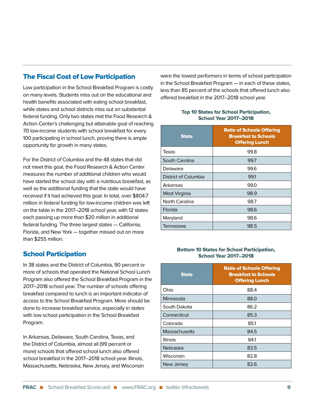# The Fiscal Cost of Low Participation

Low participation in the School Breakfast Program is costly on many levels. Students miss out on the educational and health benefits associated with eating school breakfast, while states and school districts miss out on substantial federal funding. Only two states met the Food Research & Action Center's challenging but attainable goal of reaching 70 low-income students with school breakfast for every 100 participating in school lunch, proving there is ample opportunity for growth in many states.

For the District of Columbia and the 48 states that did not meet this goal, the Food Research & Action Center measures the number of additional children who would have started the school day with a nutritious breakfast, as well as the additional funding that the state would have received if it had achieved this goal. In total, over \$804.7 million in federal funding for low-income children was left on the table in the 2017–2018 school year, with 12 states each passing up more than \$20 million in additional federal funding. The three largest states — California, Florida, and New York — together missed out on more than \$255 million.

## School Participation

In 38 states and the District of Columbia, 90 percent or more of schools that operated the National School Lunch Program also offered the School Breakfast Program in the 2017–2018 school year. The number of schools offering breakfast compared to lunch is an important indicator of access to the School Breakfast Program. More should be done to increase breakfast service, especially in states with low school participation in the School Breakfast Program.

In Arkansas, Delaware, South Carolina, Texas, and the District of Columbia, almost all (99 percent or more) schools that offered school lunch also offered school breakfast in the 2017–2018 school year. Illinois, Massachusetts, Nebraska, New Jersey, and Wisconsin were the lowest performers in terms of school participation in the School Breakfast Program — in each of these states, less than 85 percent of the schools that offered lunch also offered breakfast in the 2017–2018 school year.

#### Top 10 States for School Participation, School Year 2017–2018

| <b>State</b>         | <b>Ratio of Schools Offering</b><br><b>Breakfast to Schools</b><br><b>Offering Lunch</b> |
|----------------------|------------------------------------------------------------------------------------------|
| Texas                | 99.8                                                                                     |
| South Carolina       | 99.7                                                                                     |
| Delaware             | 99.6                                                                                     |
| District of Columbia | 99.1                                                                                     |
| Arkansas             | 99.0                                                                                     |
| West Virginia        | 98.9                                                                                     |
| North Carolina       | 98.7                                                                                     |
| Florida              | 98.6                                                                                     |
| Maryland             | 98.6                                                                                     |
| Tennessee            | 98.5                                                                                     |

#### Bottom 10 States for School Participation, School Year 2017–2018

| <b>State</b>         | <b>Ratio of Schools Offering</b><br><b>Breakfast to Schools</b><br><b>Offering Lunch</b> |
|----------------------|------------------------------------------------------------------------------------------|
| Ohio                 | 88.4                                                                                     |
| Minnesota            | 88.0                                                                                     |
| South Dakota         | 86.2                                                                                     |
| Connecticut          | 85.3                                                                                     |
| Colorado             | 85.1                                                                                     |
| <b>Massachusetts</b> | 84.5                                                                                     |
| <b>Illinois</b>      | 841                                                                                      |
| Nebraska             | 83.5                                                                                     |
| Wisconsin            | 82.8                                                                                     |
| New Jersey           | 82.6                                                                                     |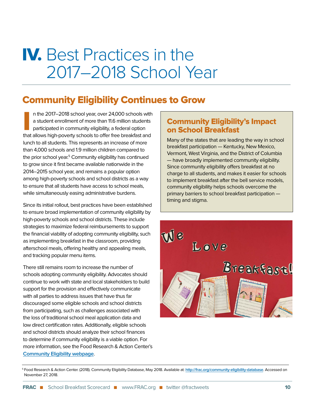# IV. Best Practices in the 2017–2018 School Year

# Community Eligibility Continues to Grow

In the 2017–2018 school year, over 24,000 schools with<br>a student enrollment of more than 11.6 million students<br>participated in community eligibility, a federal option<br>that allows high-poverty schools to offer free breakfas n the 2017–2018 school year, over 24,000 schools with a student enrollment of more than 11.6 million students participated in community eligibility, a federal option lunch to all students. This represents an increase of more than 4,000 schools and 1.9 million children compared to the prior school year.<sup>5</sup> Community eligibility has continued to grow since it first became available nationwide in the 2014–2015 school year, and remains a popular option among high-poverty schools and school districts as a way to ensure that all students have access to school meals, while simultaneously easing administrative burdens.

Since its initial rollout, best practices have been established to ensure broad implementation of community eligibility by high-poverty schools and school districts. These include strategies to maximize federal reimbursements to support the financial viability of adopting community eligibility, such as implementing breakfast in the classroom, providing afterschool meals, offering healthy and appealing meals, and tracking popular menu items.

There still remains room to increase the number of schools adopting community eligibility. Advocates should continue to work with state and local stakeholders to build support for the provision and effectively communicate with all parties to address issues that have thus far discouraged some eligible schools and school districts from participating, such as challenges associated with the loss of traditional school meal application data and low direct certification rates. Additionally, eligible schools and school districts should analyze their school finances to determine if community eligibility is a viable option. For more information, see the Food Research & Action Center's **[Community Eligibility webpage](http://www.frac.org/community-eligibility )**.

# Community Eligibility's Impact on School Breakfast

Many of the states that are leading the way in school breakfast participation — Kentucky, New Mexico, Vermont, West Virginia, and the District of Columbia — have broadly implemented community eligibility. Since community eligibility offers breakfast at no charge to all students, and makes it easier for schools to implement breakfast after the bell service models, community eligibility helps schools overcome the primary barriers to school breakfast participation timing and stigma.



<sup>5</sup> Food Research & Action Center. (2018). Community Eligibility Database, May 2018. Available at: **<http://frac.org/community-eligibility-database>**. Accessed on November 27, 2018.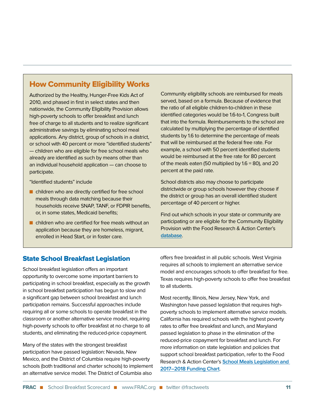# How Community Eligibility Works

Authorized by the Healthy, Hunger-Free Kids Act of 2010, and phased in first in select states and then nationwide, the Community Eligibility Provision allows high-poverty schools to offer breakfast and lunch free of charge to all students and to realize significant administrative savings by eliminating school meal applications. Any district, group of schools in a district, or school with 40 percent or more "identified students" — children who are eligible for free school meals who already are identified as such by means other than an individual household application — can choose to participate.

"Identified students" include

- $\blacksquare$  children who are directly certified for free school meals through data matching because their households receive SNAP, TANF, or FDPIR benefits, or, in some states, Medicaid benefits;
- $\blacksquare$  children who are certified for free meals without an application because they are homeless, migrant, enrolled in Head Start, or in foster care.

Community eligibility schools are reimbursed for meals served, based on a formula. Because of evidence that the ratio of all eligible children-to-children in these identified categories would be 1.6-to-1, Congress built that into the formula. Reimbursements to the school are calculated by multiplying the percentage of identified students by 1.6 to determine the percentage of meals that will be reimbursed at the federal free rate. For example, a school with 50 percent identified students would be reimbursed at the free rate for 80 percent of the meals eaten (50 multiplied by 1.6 = 80), and 20 percent at the paid rate.

School districts also may choose to participate districtwide or group schools however they choose if the district or group has an overall identified student percentage of 40 percent or higher.

Find out which schools in your state or community are participating or are eligible for the Community Eligibility Provision with the Food Research & Action Center's **[database](http://frac.org/community-eligibility-database/)**.

## State School Breakfast Legislation

School breakfast legislation offers an important opportunity to overcome some important barriers to participating in school breakfast, especially as the growth in school breakfast participation has begun to slow and a significant gap between school breakfast and lunch participation remains. Successful approaches include requiring all or some schools to operate breakfast in the classroom or another alternative service model, requiring high-poverty schools to offer breakfast at no charge to all students, and eliminating the reduced-price copayment.

Many of the states with the strongest breakfast participation have passed legislation: Nevada, New Mexico, and the District of Columbia require high-poverty schools (both traditional and charter schools) to implement an alternative service model. The District of Columbia also

offers free breakfast in all public schools. West Virginia requires all schools to implement an alternative service model and encourages schools to offer breakfast for free. Texas requires high-poverty schools to offer free breakfast to all students.

Most recently, Illinois, New Jersey, New York, and Washington have passed legislation that requires highpoverty schools to implement alternative service models. California has required schools with the highest poverty rates to offer free breakfast and lunch, and Maryland passed legislation to phase in the elimination of the reduced-price copayment for breakfast and lunch. For more information on state legislation and policies that support school breakfast participation, refer to the Food Research & Action Center's **[School Meals Legislation and](http://www.frac.org/wp-content/uploads/state_leg_table_scorecard.pdf)  [2017–2018 Funding Chart](http://www.frac.org/wp-content/uploads/state_leg_table_scorecard.pdf)**.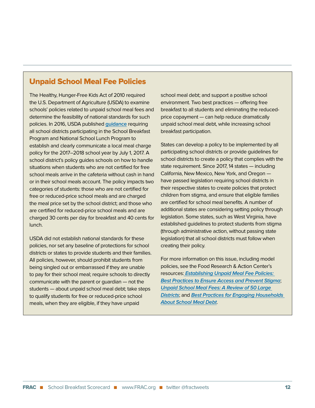# Unpaid School Meal Fee Policies

The Healthy, Hunger-Free Kids Act of 2010 required the U.S. Department of Agriculture (USDA) to examine schools' policies related to unpaid school meal fees and determine the feasibility of national standards for such policies. In 2016, USDA published **[guidance](https://fns-prod.azureedge.net/sites/default/files/cn/SP23-2017os.pdf)** requiring all school districts participating in the School Breakfast Program and National School Lunch Program to establish and clearly communicate a local meal charge policy for the 2017–2018 school year by July 1, 2017. A school district's policy guides schools on how to handle situations when students who are not certified for free school meals arrive in the cafeteria without cash in hand or in their school meals account. The policy impacts two categories of students: those who are not certified for free or reduced-price school meals and are charged the meal price set by the school district; and those who are certified for reduced-price school meals and are charged 30 cents per day for breakfast and 40 cents for lunch.

USDA did not establish national standards for these policies, nor set any baseline of protections for school districts or states to provide students and their families. All policies, however, should prohibit students from being singled out or embarrassed if they are unable to pay for their school meal; require schools to directly communicate with the parent or guardian — not the students — about unpaid school meal debt; take steps to qualify students for free or reduced-price school meals, when they are eligible, if they have unpaid

school meal debt; and support a positive school environment. Two best practices — offering free breakfast to all students and eliminating the reducedprice copayment — can help reduce dramatically unpaid school meal debt, while increasing school breakfast participation.

States can develop a policy to be implemented by all participating school districts or provide guidelines for school districts to create a policy that complies with the state requirement. Since 2017, 14 states — including California, New Mexico, New York, and Oregon have passed legislation requiring school districts in their respective states to create policies that protect children from stigma, and ensure that eligible families are certified for school meal benefits. A number of additional states are considering setting policy through legislation. Some states, such as West Virginia, have established guidelines to protect students from stigma (through administrative action, without passing state legislation) that all school districts must follow when creating their policy.

For more information on this issue, including model policies, see the Food Research & Action Center's resources: **[Establishing Unpaid Meal Fee Policies:](http://frac.org/wp-content/uploads/frac-unpaid-meal-fees-policy-guide.pdf)  [Best Practices to Ensure Access and Prevent Stigma](http://frac.org/wp-content/uploads/frac-unpaid-meal-fees-policy-guide.pdf)**; **[Unpaid School Meal Fees: A Review of 50 Large](http://frac.org/wp-content/uploads/unpaid-school-meal-fees-review-50-large-district-policies-1.pdf)  [Districts](http://frac.org/wp-content/uploads/unpaid-school-meal-fees-review-50-large-district-policies-1.pdf)**; and **[Best Practices for Engaging Households](http://frac.org/wp-content/uploads/best-practices-engaging-households-about-school-meal-debt.pdf)  [About School Meal Debt](http://frac.org/wp-content/uploads/best-practices-engaging-households-about-school-meal-debt.pdf)**.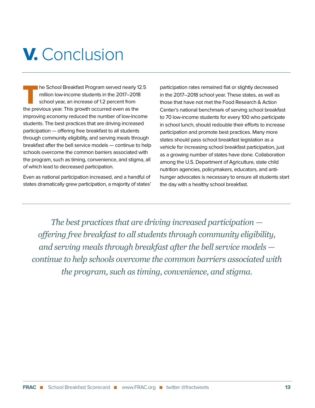# V. Conclusion

he School Breakfast Program served nearly 12.5 million low-income students in the 2017–2018 school year, an increase of 1.2 percent from the previous year. This growth occurred even as the improving economy reduced the number of low-income students. The best practices that are driving increased participation — offering free breakfast to all students through community eligibility, and serving meals through breakfast after the bell service models — continue to help schools overcome the common barriers associated with the program, such as timing, convenience, and stigma, all of which lead to decreased participation.

Even as national participation increased, and a handful of states dramatically grew participation, a majority of states'

participation rates remained flat or slightly decreased in the 2017–2018 school year. These states, as well as those that have not met the Food Research & Action Center's national benchmark of serving school breakfast to 70 low-income students for every 100 who participate in school lunch, should redouble their efforts to increase participation and promote best practices. Many more states should pass school breakfast legislation as a vehicle for increasing school breakfast participation, just as a growing number of states have done. Collaboration among the U.S. Department of Agriculture, state child nutrition agencies, policymakers, educators, and antihunger advocates is necessary to ensure all students start the day with a healthy school breakfast.

*The best practices that are driving increased participation offering free breakfast to all students through community eligibility, and serving meals through breakfast after the bell service models continue to help schools overcome the common barriers associated with the program, such as timing, convenience, and stigma.*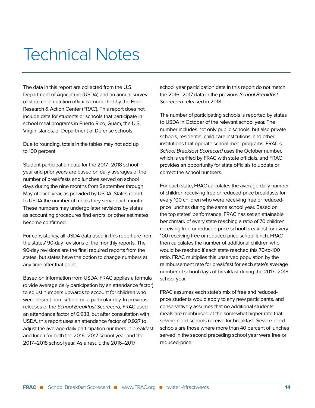# Technical Notes

The data in this report are collected from the U.S. Department of Agriculture (USDA) and an annual survey of state child nutrition officials conducted by the Food Research & Action Center (FRAC). This report does not include data for students or schools that participate in school meal programs in Puerto Rico, Guam, the U.S. Virgin Islands, or Department of Defense schools.

Due to rounding, totals in the tables may not add up to 100 percent.

Student participation data for the 2017–2018 school year and prior years are based on daily averages of the number of breakfasts and lunches served on school days during the nine months from September through May of each year, as provided by USDA. States report to USDA the number of meals they serve each month. These numbers may undergo later revisions by states as accounting procedures find errors, or other estimates become confirmed.

For consistency, all USDA data used in this report are from the states' 90-day revisions of the monthly reports. The 90-day revisions are the final required reports from the states, but states have the option to change numbers at any time after that point.

Based on information from USDA, FRAC applies a formula (divide average daily participation by an attendance factor) to adjust numbers upwards to account for children who were absent from school on a particular day. In previous releases of the School Breakfast Scorecard, FRAC used an attendance factor of 0.938, but after consultation with USDA, this report uses an attendance factor of 0.927 to adjust the average daily participation numbers in breakfast and lunch for both the 2016–2017 school year and the 2017–2018 school year. As a result, the 2016–2017

school year participation data in this report do not match the 2016–2017 data in the previous School Breakfast Scorecard released in 2018.

The number of participating schools is reported by states to USDA in October of the relevant school year. The number includes not only public schools, but also private schools, residential child care institutions, and other institutions that operate school meal programs. FRAC's School Breakfast Scorecard uses the October number, which is verified by FRAC with state officials, and FRAC provides an opportunity for state officials to update or correct the school numbers.

For each state, FRAC calculates the average daily number of children receiving free or reduced-price breakfasts for every 100 children who were receiving free or reducedprice lunches during the same school year. Based on the top states' performance, FRAC has set an attainable benchmark of every state reaching a ratio of 70 children receiving free or reduced-price school breakfast for every 100 receiving free or reduced-price school lunch. FRAC then calculates the number of additional children who would be reached if each state reached this 70-to-100 ratio. FRAC multiplies this unserved population by the reimbursement rate for breakfast for each state's average number of school days of breakfast during the 2017–2018 school year.

FRAC assumes each state's mix of free and reducedprice students would apply to any new participants, and conservatively assumes that no additional students' meals are reimbursed at the somewhat higher rate that severe-need schools receive for breakfast. Severe-need schools are those where more than 40 percent of lunches served in the second preceding school year were free or reduced-price.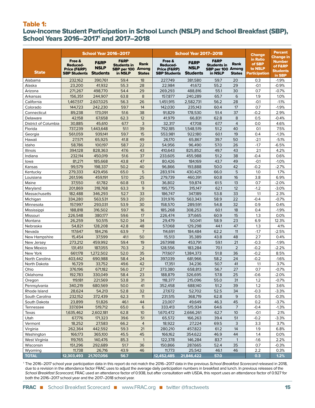### Table 1:

# Low-Income Student Participation in School Lunch (NSLP) and School Breakfast (SBP), School Years 2016–2017<sup>1</sup> and 2017–2018

|                         | <b>School Year 2016–2017</b>                                     |                                            |                                                                       |                       | <b>School Year 2017–2018</b>                                     | <b>Change</b>                              | <b>Percent</b><br><b>Change in</b>                             |                       |                                                |                                                       |
|-------------------------|------------------------------------------------------------------|--------------------------------------------|-----------------------------------------------------------------------|-----------------------|------------------------------------------------------------------|--------------------------------------------|----------------------------------------------------------------|-----------------------|------------------------------------------------|-------------------------------------------------------|
| <b>State</b>            | Free &<br><b>Reduced-</b><br>Price (F&RP)<br><b>SBP Students</b> | <b>F&amp;RP</b><br>NSLP<br><b>Students</b> | <b>F&amp;RP</b><br><b>Students in</b><br>SBP per 100 Among<br>in NSLP | Rank<br><b>States</b> | Free &<br><b>Reduced-</b><br>Price (F&RP)<br><b>SBP Students</b> | <b>F&amp;RP</b><br>NSLP<br><b>Students</b> | <b>F&amp;RP</b><br>Students in<br>SBP per 100 Among<br>in NSLP | Rank<br><b>States</b> | in Ratio<br>of SBP<br>to NSLP<br>Participation | <b>Number</b><br>of F&RP<br><b>Students</b><br>in SBP |
| Alabama                 | 232,162                                                          | 390.761                                    | 59.4                                                                  | 18                    | 227.749                                                          | 381,580                                    | 59.7                                                           | 20                    | 0.3                                            | $-1.9%$                                               |
| Alaska                  | 23,200                                                           | 41,932                                     | 55.3                                                                  | 28                    | 22,984                                                           | 41.672                                     | 55.2                                                           | 29                    | $-0.1$                                         | $-0.9%$                                               |
| Arizona                 | 271,267                                                          | 498,770                                    | 54.4                                                                  | 29                    | 269,293                                                          | 488,816                                    | 55.1                                                           | 30                    | 0.7                                            | $-0.7%$                                               |
| Arkansas                | 156,351                                                          | 244,907                                    | 63.8                                                                  | 8                     | 157,877                                                          | 240,289                                    | 65.7                                                           | 6                     | 1.9                                            | 1.0%                                                  |
| California              | 1.467.517                                                        | 2,607,025                                  | 56.3                                                                  | 26                    | 1,451,915                                                        | 2,582,731                                  | 56.2                                                           | 28                    | $-0.1$                                         | $-1.1%$                                               |
| Colorado                | 144,723                                                          | 242,230                                    | 59.7                                                                  | 14                    | 142,030                                                          | 235,143                                    | 60.4                                                           | 17                    | 0.7                                            | $-1.9%$                                               |
| Connecticut             | 89,238                                                           | 173,091                                    | 51.6                                                                  | 38                    | 91,829                                                           | 178,530                                    | 51.4                                                           | 37                    | $-0.2$                                         | 2.9%                                                  |
| Delaware                | 42,158                                                           | 67,658                                     | 62.3                                                                  | 12                    | 41,979                                                           | 66,831                                     | 62.8                                                           | 8                     | 0.5                                            | $-0.4%$                                               |
| District of Columbia    | 30,885                                                           | 45,610                                     | 67.7                                                                  | 3                     | 32,317                                                           | 47,708                                     | 67.7                                                           | $\overline{4}$        | 0.0                                            | 4.6%                                                  |
| Florida                 | 737,239                                                          | 1,443,648                                  | 51.1                                                                  | 39                    | 792,185                                                          | 1,548,519                                  | 51.2                                                           | 40                    | 0.1                                            | 7.5%                                                  |
| Georgia                 | 561,059                                                          | 939,141                                    | 59.7                                                                  | 15                    | 553,981                                                          | 922,180                                    | 60.1                                                           | 19                    | 0.4                                            | $-1.3%$                                               |
| Hawaii                  | 27,571                                                           | 65,925                                     | 41.8                                                                  | 49                    | 26,170                                                           | 65,867                                     | 39.7                                                           | 50                    | $-2.1$                                         | $-5.1%$                                               |
| Idaho                   | 58,786                                                           | 100,197                                    | 58.7                                                                  | 22                    | 54,956                                                           | 96,490                                     | 57.0                                                           | 26                    | $-1.7$                                         | $-6.5%$                                               |
| Illinois                | 394,128                                                          | 828,363                                    | 47.6                                                                  | 43                    | 410,643                                                          | 825,852                                    | 49.7                                                           | 43                    | 2.1                                            | 4.2%                                                  |
| Indiana                 | 232,114                                                          | 450,019                                    | 51.6                                                                  | 37                    | 233,605                                                          | 455,988                                    | 51.2                                                           | 38                    | $-0.4$                                         | 0.6%                                                  |
| lowa                    | 81,271                                                           | 185,668                                    | 43.8                                                                  | 47                    | 80,426                                                           | 184,169                                    | 43.7                                                           | 49                    | $-0.1$                                         | $-1.0%$                                               |
| Kansas                  | 99,579                                                           | 198,337                                    | 50.2                                                                  | 40                    | 96,866                                                           | 193,888                                    | 50.0                                                           | 42                    | $-0.2$                                         | $-2.7%$                                               |
| Kentucky                | 279,333                                                          | 429,456                                    | 65.0                                                                  | 5                     | 283,974                                                          | 430,425                                    | 66.0                                                           | 5                     | 1.0                                            | 1.7%                                                  |
| Louisiana               | 261,596                                                          | 459,191                                    | 57.0                                                                  | 25                    | 279,739                                                          | 460,391                                    | 60.8                                                           | 16                    | 3.8                                            | 6.9%                                                  |
| Maine                   | 37,550                                                           | 61,782                                     | 60.8                                                                  | 13<br>9               | 36,802                                                           | 59,874                                     | 61.5                                                           | 13                    | 0.7                                            | $-2.0%$                                               |
| Marvland                | 201,869                                                          | 318,768                                    | 63.3                                                                  |                       | 195,775                                                          | 315,147                                    | 62.1                                                           | 12                    | $-1.2$                                         | $-3.0%$                                               |
| Massachusetts           | 182,488                                                          | 346,293                                    | 52.7                                                                  | 33                    | 186,747                                                          | 347,189                                    | 53.8                                                           | 33                    | 1.1                                            | 2.3%                                                  |
| Michigan                | 334,280                                                          | 563,531                                    | 59.3                                                                  | 20<br>30              | 331,976                                                          | 563,343                                    | 58.9                                                           | 22<br>32              | $-0.4$                                         | $-0.7%$<br>0.4%                                       |
| Minnesota               | 157,997<br>188,818                                               | 293,031<br>316,502                         | 53.9<br>59.7                                                          | 16                    | 158,570<br>185,268                                               | 289,591<br>308,253                         | 54.8<br>60.1                                                   | 18                    | 0.9<br>0.4                                     | $-1.9%$                                               |
| Mississippi<br>Missouri | 226,548                                                          | 380,177                                    | 59.6                                                                  | 17                    | 226,474                                                          | 371,665                                    | 60.9                                                           | 15                    | 1.3                                            | 0.0%                                                  |
| Montana                 | 26,259                                                           | 50,515                                     | 52.0                                                                  | 34                    | 29,479                                                           | 50,041                                     | 58.9                                                           | 23                    | 6.9                                            | 12.3%                                                 |
| Nebraska                | 54,821                                                           | 128,208                                    | 42.8                                                                  | 48                    | 57,068                                                           | 129,298                                    | 44.1                                                           | 47                    | 1.3                                            | 4.1%                                                  |
| Nevada                  | 117,647                                                          | 184,216                                    | 63.9                                                                  | $\overline{7}$        | 114,691                                                          | 184,484                                    | 62.2                                                           | 11                    | $-1.7$                                         | $-2.5%$                                               |
| New Hampshire           | 15,454                                                           | 37,599                                     | 41.1                                                                  | 50                    | 15,513                                                           | 35,389                                     | 43.8                                                           | 48                    | 2.7                                            | 0.4%                                                  |
| New Jersey              | 273,212                                                          | 459,992                                    | 59.4                                                                  | 19                    | 267,998                                                          | 453,791                                    | 59.1                                                           | 21                    | $-0.3$                                         | $-1.9%$                                               |
| New Mexico              | 131,451                                                          | 187,055                                    | 70.3                                                                  | $\overline{2}$        | 128,556                                                          | 183,284                                    | 70.1                                                           | $\overline{2}$        | $-0.2$                                         | $-2.2%$                                               |
| New York                | 661,178                                                          | 1.272.502                                  | 52.0                                                                  | 35                    | 717,607                                                          | 1,384,373                                  | 51.8                                                           | 36                    | $-0.2$                                         | 8.5%                                                  |
| North Carolina          | 403,442                                                          | 690,988                                    | 58.4                                                                  | 24                    | 397,039                                                          | 681,966                                    | 58.2                                                           | 24                    | $-0.2$                                         | $-1.6%$                                               |
| North Dakota            | 16,729                                                           | 33,752                                     | 49.6                                                                  | 42                    | 17,351                                                           | 34,236                                     | 50.7                                                           | 41                    | 1.1                                            | 3.7%                                                  |
| Ohio                    | 376,196                                                          | 671,182                                    | 56.0                                                                  | 27                    | 373,380                                                          | 658,813                                    | 56.7                                                           | 27                    | 0.7                                            | $-0.7%$                                               |
| Oklahoma                | 192,783                                                          | 330,049                                    | 58.4                                                                  | 23                    | 188,879                                                          | 326.695                                    | 57.8                                                           | 25                    | $-0.6$                                         | $-2.0%$                                               |
| Oregon                  | 119,181                                                          | 221,569                                    | 53.8                                                                  | 31                    | 118,377                                                          | 215,096                                    | 55.0                                                           | 31                    | 1.2                                            | $-0.7%$                                               |
| Pennsylvania            | 340,219                                                          | 680,569                                    | 50.0                                                                  | 41                    | 352,458                                                          | 688,140                                    | 51.2                                                           | 39                    | 1.2                                            | 3.6%                                                  |
| Rhode Island            | 28,624                                                           | 54,213                                     | 52.8                                                                  | 32                    | 27,672                                                           | 52,702                                     | 52.5                                                           | 34                    | $-0.3$                                         | $-3.3%$                                               |
| South Carolina          | 232,152                                                          | 372,439                                    | 62.3                                                                  | 11                    | 231,515                                                          | 368,719                                    | 62.8                                                           | 9                     | 0.5                                            | $-0.3%$                                               |
| South Dakota            | 23,899                                                           | 51,826                                     | 46.1                                                                  | 44                    | 23,007                                                           | 49,649                                     | 46.3                                                           | 45                    | 0.2                                            | $-3.7%$                                               |
| Tennessee               | 337,694                                                          | 519,712                                    | 65.0                                                                  | 6                     | 333,413                                                          | 515,934                                    | 64.6                                                           | 7                     | $-0.4$                                         | $-1.3%$                                               |
| Texas                   | 1,635,462                                                        | 2,602,181                                  | 62.8                                                                  | 10                    | 1,670,472                                                        | 2,666,261                                  | 62.7                                                           | 10 <sup>°</sup>       | $-0.1$                                         | 2.1%                                                  |
| Utah                    | 67,776                                                           | 171,323                                    | 39.6                                                                  | 51                    | 65,572                                                           | 166,263                                    | 39.4                                                           | 51                    | $-0.2$                                         | $-3.3%$                                               |
| Vermont                 | 18,252                                                           | 27,583                                     | 66.2                                                                  | $\overline{4}$        | 18,922                                                           | 27,224                                     | 69.5                                                           | 3                     | 3.3                                            | 3.7%                                                  |
| Virginia                | 262,364                                                          | 442,592                                    | 59.3                                                                  | 21                    | 280,210                                                          | 457,822                                    | 61.2                                                           | 14                    | 1.9                                            | 6.8%                                                  |
| Washington              | 166,173                                                          | 365,100                                    | 45.5                                                                  | 45                    | 166,162                                                          | 354,622                                    | 46.9                                                           | 44                    | 1.4                                            | 0.0%                                                  |
| West Virginia           | 119,765                                                          | 140,476                                    | 85.3                                                                  | $\mathbf{1}$          | 122,378                                                          | 146,284                                    | 83.7                                                           | $\mathbf{1}$          | $-1.6$                                         | 2.2%                                                  |
| Wisconsin               | 151,296                                                          | 292,689                                    | 51.7                                                                  | 36                    | 150,866                                                          | 287,665                                    | 52.4                                                           | 35                    | 0.7                                            | $-0.3%$                                               |
| Wyoming                 | 11,738                                                           | 26,716                                     | 43.9                                                                  | 46                    | 11,773                                                           | 25,542                                     | 46.1                                                           | 46                    | 2.2                                            | 0.3%                                                  |
| <b>TOTAL</b>            | 12,303,493                                                       | 21,707,056                                 | 56.7                                                                  |                       | 12,452,485                                                       | 21,846,422                                 | 57.0                                                           |                       | 0.3                                            | 1.2%                                                  |

<sup>1</sup> The 2016–2017 school year participation data in this report do not match the 2016–2017 data in the previous School Breakfast Scorecard released in 2018, due to a revision in the attendance factor FRAC uses to adjust the average daily participation numbers in breakfast and lunch. In previous releases of the School Breakfast Scorecard, FRAC used an attendance factor of 0.938, but after consultation with USDA, this report uses an attendance factor of 0.927 for both the 2016–2017 school year and the 2017–2018 school year.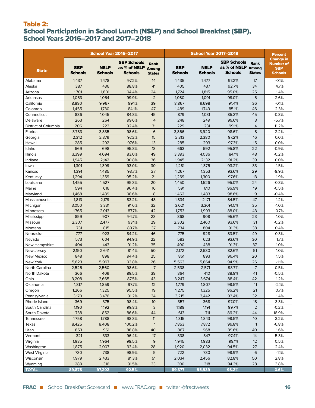### Table 2: School Participation in School Lunch (NSLP) and School Breakfast (SBP), School Years 2016–2017 and 2017–2018

|                            |                              | <b>School Year 2016-2017</b>  |                                                            |                              | <b>School Year 2017-2018</b> |                               |                                                     |                       | <b>Percent</b>                                                       |  |
|----------------------------|------------------------------|-------------------------------|------------------------------------------------------------|------------------------------|------------------------------|-------------------------------|-----------------------------------------------------|-----------------------|----------------------------------------------------------------------|--|
| <b>State</b>               | <b>SBP</b><br><b>Schools</b> | <b>NSLP</b><br><b>Schools</b> | <b>SBP Schools</b><br>as % of NSLP Among<br><b>Schools</b> | <b>Rank</b><br><b>States</b> | <b>SBP</b><br><b>Schools</b> | <b>NSLP</b><br><b>Schools</b> | <b>SBP Schools</b><br>as % of NSLP Among<br>Schools | Rank<br><b>States</b> | <b>Change in</b><br><b>Number of</b><br><b>SBP</b><br><b>Schools</b> |  |
| Alabama                    | 1,437                        | 1,478                         | 97.2%                                                      | 14                           | 1,435                        | 1,477                         | 97.2%                                               | 17                    | $-0.1%$                                                              |  |
| Alaska                     | 387                          | 436                           | 88.8%                                                      | 41                           | 405                          | 437                           | 92.7%                                               | 34                    | 4.7%                                                                 |  |
| Arizona                    | 1,701                        | 1,801                         | 94.4%                                                      | 24                           | 1,724                        | 1,815                         | 95.0%                                               | 25                    | 1.4%                                                                 |  |
| Arkansas                   | 1,053                        | 1,054                         | 99.9%                                                      | $\overline{2}$               | 1,080                        | 1,091                         | 99.0%                                               | 5                     | 2.6%                                                                 |  |
| California                 | 8,880                        | 9,967                         | 89.1%                                                      | 39                           | 8,867                        | 9.698                         | 91.4%                                               | 36                    | $-0.1%$                                                              |  |
| Colorado                   | 1,455                        | 1,730                         | 84.1%                                                      | 47                           | 1,489                        | 1,749                         | 85.1%                                               | 46                    | 2.3%                                                                 |  |
| Connecticut                | 886                          | 1,045                         | 84.8%                                                      | 45                           | 879                          | 1,031                         | 85.3%                                               | 45                    | $-0.8%$                                                              |  |
| Delaware                   | 263                          | 264                           | 99.6%                                                      | $\overline{4}$               | 248                          | 249                           | 99.6%                                               | 3                     | $-5.7%$                                                              |  |
| District of Columbia       | 206                          | 223                           | 92.4%                                                      | 31                           | 229                          | 231                           | 99.1%                                               | $\overline{4}$        | 11.2%                                                                |  |
| Florida                    | 3,783                        | 3,835                         | 98.6%                                                      | 6                            | 3,866                        | 3,920                         | 98.6%                                               | 8                     | 2.2%                                                                 |  |
| Georgia                    | 2,312                        | 2,379                         | 97.2%                                                      | 15                           | 2,313                        | 2,380                         | 97.2%                                               | 16                    | 0.0%                                                                 |  |
| Hawaii                     | 285                          | 292                           | 97.6%                                                      | 13                           | 285                          | 293                           | 97.3%                                               | 15                    | 0.0%                                                                 |  |
| Idaho                      | 669                          | 698                           | 95.8%                                                      | 18                           | 663                          | 692                           | 95.8%                                               | 22                    | $-0.9%$                                                              |  |
| <b>Illinois</b>            | 3,399                        | 4,094                         | 83.0%                                                      | 49                           | 3,393                        | 4,036                         | 84.1%                                               | 48                    | $-0.2%$                                                              |  |
| Indiana                    | 1,945                        | 2,142                         | 90.8%                                                      | 36                           | 1,945                        | 2,132                         | 91.2%                                               | 39                    | 0.0%                                                                 |  |
| lowa                       | 1,301                        | 1,399                         | 93.0%                                                      | 30                           | 1,281                        | 1,375                         | 93.2%                                               | 33                    | $-1.5%$                                                              |  |
| Kansas                     | 1,391                        | 1,485                         | 93.7%                                                      | 27                           | 1,267                        | 1,353                         | 93.6%                                               | 29                    | $-8.9%$                                                              |  |
| Kentucky                   | 1,294                        | 1,359                         | 95.2%                                                      | 21                           | 1,269                        | 1,300                         | 97.6%                                               | 13                    | $-1.9%$                                                              |  |
| Louisiana                  | 1,455                        | 1,527                         | 95.3%                                                      | 20                           | 1,450                        | 1,526                         | 95.0%                                               | 24                    | $-0.3%$                                                              |  |
| Maine                      | 594                          | 616                           | 96.4%                                                      | 16                           | 591                          | 610                           | 96.9%                                               | 19                    | $-0.5%$                                                              |  |
| Maryland                   | 1,468                        | 1,489                         | 98.6%                                                      | 8                            | 1,462                        | 1,483                         | 98.6%                                               | 9                     | $-0.4%$                                                              |  |
| Massachusetts              | 1,813                        | 2,179                         | 83.2%                                                      | 48                           | 1,834                        | 2,171                         | 84.5%                                               | 47                    | 1.2%                                                                 |  |
| Michigan                   | 3,050                        | 3,331                         | 91.6%                                                      | 32                           | 3,021                        | 3,301                         | 91.5%                                               | 35                    | $-1.0%$                                                              |  |
| Minnesota                  | 1,765                        | 2,013                         | 87.7%                                                      | 42                           | 1,753                        | 1,993                         | 88.0%                                               | 43                    | $-0.7%$                                                              |  |
| Mississippi                | 859                          | 907                           | 94.7%                                                      | 23                           | 868                          | 908                           | 95.6%                                               | 23                    | 1.0%                                                                 |  |
| Missouri                   | 2,307                        | 2,477                         | 93.1%                                                      | 29                           | 2,302                        | 2,460                         | 93.6%                                               | 31                    | $-0.2%$                                                              |  |
| Montana                    | 731                          | 815                           | 89.7%                                                      | 37                           | 734                          | 804                           | 91.3%                                               | 38                    | 0.4%                                                                 |  |
| Nebraska                   | 777                          | 923                           | 84.2%                                                      | 46                           | 775                          | 928                           | 83.5%                                               | 49                    | $-0.3%$                                                              |  |
| Nevada                     | 573                          | 604                           | 94.9%                                                      | 22                           | 583                          | 623                           | 93.6%                                               | 30                    | 1.7%                                                                 |  |
| New Hampshire              | 404                          | 443                           | 91.2%                                                      | 35                           | 400                          | 438                           | 91.3%                                               | 37                    | $-1.0%$                                                              |  |
| New Jersey                 | 2,150                        | 2,641                         | 81.4%                                                      | 50                           | 2,172                        | 2,630                         | 82.6%                                               | 51                    | 1.0%                                                                 |  |
| New Mexico                 | 848                          | 898                           | 94.4%                                                      | 25                           | 861                          | 893                           | 96.4%                                               | 20                    | 1.5%                                                                 |  |
| New York                   | 5,623                        | 5,997                         | 93.8%                                                      | 26                           | 5,563                        | 5,864                         | 94.9%                                               | 26                    | $-1.1%$                                                              |  |
| North Carolina             | 2,525                        | 2,560                         | 98.6%                                                      | $\overline{7}$               | 2,538                        | 2,571                         | 98.7%                                               | 7                     | 0.5%                                                                 |  |
| North Dakota               | 366                          | 409                           | 89.5%                                                      | 38<br>43                     | 364                          | 410                           | 88.8%                                               | 41<br>42              | $-0.5%$                                                              |  |
| Ohio                       | 3,208                        | 3,665                         | 87.5%                                                      |                              | 3,247                        | 3,674                         | 88.4%                                               |                       | 1.2%                                                                 |  |
| Oklahoma                   | 1,817                        | 1,859                         | 97.7%                                                      | 12                           | 1,779                        | 1,807                         | 98.5%                                               | 11                    | $-2.1%$                                                              |  |
| Oregon                     | 1,266                        | 1,325                         | 95.5%                                                      | 19                           | 1,275                        | 1,325                         | 96.2%                                               | 21                    | 0.7%                                                                 |  |
| Pennsylvania               | 3,170                        | 3,476                         | 91.2%                                                      | 34                           | 3,215                        | 3,442                         | 93.4%                                               | 32                    | 1.4%                                                                 |  |
| Rhode Island               | 369                          | 375                           | 98.4%                                                      | 10 <sup>°</sup>              | 357                          | 368                           | 97.0%                                               | 18                    | $-3.3%$                                                              |  |
| South Carolina             | 1,190<br>738                 | 1,192<br>852                  | 99.8%<br>86.6%                                             | 3<br>44                      | 1,188<br>613                 | 1,191<br>711                  | 99.7%<br>86.2%                                      | $\overline{2}$<br>44  | $-0.2%$<br>$-16.9%$                                                  |  |
| South Dakota               |                              |                               |                                                            |                              |                              |                               |                                                     |                       |                                                                      |  |
| Tennessee                  | 1,758                        | 1,788                         | 98.3%                                                      | 11                           | 1,815                        | 1,843                         | 98.5%                                               | 10                    | 3.2%                                                                 |  |
| Texas<br>Utah              | 8,425<br>853                 | 8,408<br>961                  | 100.2%<br>88.8%                                            | $\mathbf{1}$<br>40           | 7,853<br>867                 | 7,872<br>968                  | 99.8%<br>89.6%                                      | $\overline{1}$<br>40  | -6.8%<br>1.6%                                                        |  |
|                            | 321                          |                               |                                                            |                              |                              |                               |                                                     |                       |                                                                      |  |
| Vermont                    | 1,935                        | 333<br>1,964                  | 96.4%<br>98.5%                                             | 17<br>9                      | 338<br>1,945                 | 347<br>1,983                  | 97.4%<br>98.1%                                      | 14<br>12              | 5.3%<br>0.5%                                                         |  |
| Virginia<br>Washington     | 1,875                        | 2,007                         | 93.4%                                                      | 28                           | 1,920                        | 2,032                         | 94.5%                                               | 27                    | 2.4%                                                                 |  |
|                            | 730                          |                               | 98.9%                                                      | 5                            |                              |                               |                                                     | 6                     |                                                                      |  |
| West Virginia<br>Wisconsin | 1,979                        | 738<br>2,433                  | 81.3%                                                      | 51                           | 722<br>2,034                 | 730<br>2,456                  | 98.9%<br>82.8%                                      | 50                    | $-1.1%$<br>2.8%                                                      |  |
| Wyoming                    | 289                          | 316                           | 91.5%                                                      | 33                           | 300                          | 318                           | 94.3%                                               | 28                    | 3.8%                                                                 |  |
| <b>TOTAL</b>               | 89,878                       | 97,202                        | 92.5%                                                      |                              | 89,377                       | 95,939                        | 93.2%                                               |                       | $-0.6%$                                                              |  |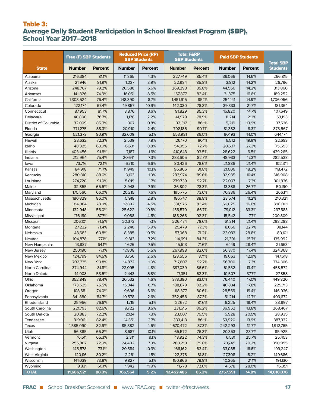# Table 3: Average Daily Student Participation in School Breakfast Program (SBP), School Year 2017–2018

|                      | <b>Free (F) SBP Students</b> |                | <b>Reduced Price (RP)</b> | <b>SBP Students</b> | <b>Total F&amp;RP</b><br><b>SBP Students</b> |                | <b>Paid SBP Students</b> |                | <b>Total SBP</b> |
|----------------------|------------------------------|----------------|---------------------------|---------------------|----------------------------------------------|----------------|--------------------------|----------------|------------------|
| <b>State</b>         | <b>Number</b>                | <b>Percent</b> | <b>Number</b>             | <b>Percent</b>      | <b>Number</b>                                | <b>Percent</b> | Number                   | <b>Percent</b> | <b>Students</b>  |
| Alabama              | 216,384                      | 81.1%          | 11,365                    | 4.3%                | 227,749                                      | 85.4%          | 39,066                   | 14.6%          | 266,815          |
| Alaska               | 21,946                       | 81.9%          | 1,037                     | 3.9%                | 22,984                                       | 85.8%          | 3,812                    | 14.2%          | 26,796           |
| Arizona              | 248,707                      | 79.2%          | 20,586                    | 6.6%                | 269,293                                      | 85.8%          | 44,566                   | 14.2%          | 313,860          |
| Arkansas             | 141,826                      | 74.9%          | 16,051                    | 8.5%                | 157,877                                      | 83.4%          | 31,375                   | 16.6%          | 189,252          |
| California           | 1,303,524                    | 76.4%          | 148,390                   | 8.7%                | 1,451,915                                    | 85.1%          | 254,141                  | 14.9%          | 1,706,056        |
| Colorado             | 122.174                      | 67.4%          | 19,857                    | 10.9%               | 142,030                                      | 78.3%          | 39.333                   | 21.7%          | 181,364          |
| Connecticut          | 87,953                       | 81.7%          | 3,876                     | 3.6%                | 91,829                                       | 85.3%          | 15,820                   | 14.7%          | 107,649          |
| Delaware             | 40,800                       | 76.7%          | 1,178                     | 2.2%                | 41,979                                       | 78.9%          | 11,214                   | 21.1%          | 53,193           |
| District of Columbia | 32,009                       | 85.3%          | 307                       | 0.8%                | 32,317                                       | 86.1%          | 5,219                    | 13.9%          | 37,536           |
| Florida              | 771,275                      | 88.3%          | 20,910                    | 2.4%                | 792,185                                      | 90.7%          | 81,382                   | 9.3%           | 873,567          |
| Georgia              | 521,373                      | 80.9%          | 32,609                    | 5.1%                | 553,981                                      | 86.0%          | 90,193                   | 14.0%          | 644,174          |
| Hawaii               | 23,632                       | 72.3%          | 2,539                     | 7.8%                | 26,170                                       | 80.1%          | 6,512                    | 19.9%          | 32,683           |
| Idaho                | 48,325                       | 63.9%          | 6,631                     | 8.8%                | 54,956                                       | 72.7%          | 20,637                   | 27.3%          | 75,593           |
| Illinois             | 403,456                      | 91.8%          | 7,187                     | 1.6%                | 410,643                                      | 93.5%          | 28,622                   | 6.5%           | 439,265          |
| Indiana              | 212,964                      | 75.4%          | 20,641                    | 7.3%                | 233,605                                      | 82.7%          | 48,933                   | 17.3%          | 282,538          |
| lowa                 | 73,716                       | 72.1%          | 6,710                     | 6.6%                | 80,426                                       | 78.6%          | 21,886                   | 21.4%          | 102,311          |
| Kansas               | 84,918                       | 71.7%          | 11,949                    | 10.1%               | 96,866                                       | 81.8%          | 21,606                   | 18.2%          | 118,472          |
| Kentucky             | 280,810                      | 88.6%          | 3,163                     | 1.0%                | 283,974                                      | 89.6%          | 32,935                   | 10.4%          | 316,908          |
| Louisiana            | 274,720                      | 91.0%          | 5,019                     | 1.7%                | 279,739                                      | 92.7%          | 22,097                   | 7.3%           | 301,836          |
| Maine                | 32.855                       | 65.5%          | 3,948                     | 7.9%                | 36,802                                       | 73.3%          | 13,388                   | 26.7%          | 50,190           |
| Maryland             | 175,560                      | 66.0%          | 20,215                    | 7.6%                | 195,775                                      | 73.6%          | 70,336                   | 26.4%          | 266,111          |
| Massachusetts        | 180,829                      | 86.0%          | 5,918                     | 2.8%                | 186,747                                      | 88.8%          | 23,574                   | 11.2%          | 210,321          |
| Michigan             | 314,084                      | 78.9%          | 17,892                    | 4.5%                | 331,976                                      | 83.4%          | 66,025                   | 16.6%          | 398,001          |
| Minnesota            | 132,948                      | 56.0%          | 25,622                    | 10.8%               | 158,570                                      | 66.7%          | 79,012                   | 33.3%          | 237,583          |
| Mississippi          | 176,180                      | 87.7%          | 9,088                     | 4.5%                | 185,268                                      | 92.3%          | 15,542                   | 7.7%           | 200,809          |
| Missouri             | 206,101                      | 71.5%          | 20,373                    | 7.1%                | 226,474                                      | 78.6%          | 61,814                   | 21.4%          | 288,288          |
| Montana              | 27,232                       | 71.4%          | 2,246                     | 5.9%                | 29,479                                       | 77.3%          | 8,666                    | 22.7%          | 38,144           |
| Nebraska             | 48,683                       | 60.8%          | 8,385                     | 10.5%               | 57,068                                       | 71.2%          | 23,033                   | 28.8%          | 80,101           |
| Nevada               | 104,878                      | 77.1%          | 9,813                     | 7.2%                | 114,691                                      | 84.3%          | 21,301                   | 15.7%          | 135,992          |
| New Hampshire        | 13,887                       | 64.1%          | 1,626                     | 7.5%                | 15,513                                       | 71.6%          | 6,149                    | 28.4%          | 21,663           |
| New Jersey           | 250,190                      | 77.1%          | 17,808                    | 5.5%                | 267,998                                      | 82.6%          | 56,370                   | 17.4%          | 324,368          |
| New Mexico           | 124,799                      | 84.5%          | 3,756                     | 2.5%                | 128,556                                      | 87.1%          | 19,063                   | 12.9%          | 147,618          |
| New York             | 702,735                      | 90.8%          | 14,872                    | 1.9%                | 717,607                                      | 92.7%          | 56,700                   | 7.3%           | 774,306          |
| North Carolina       | 374,944                      | 81.8%          | 22,095                    | 4.8%                | 397,039                                      | 86.6%          | 61,532                   | 13.4%          | 458,572          |
| North Dakota         | 14,908                       | 53.5%          | 2,443                     | 8.8%                | 17,351                                       | 62.3%          | 10,507                   | 37.7%          | 27,858           |
| Ohio                 | 352,848                      | 78.4%          | 20,532                    | 4.6%                | 373,380                                      | 83.0%          | 76,440                   | 17.0%          | 449,820          |
| Oklahoma             | 173,535                      | 75.5%          | 15,344                    | 6.7%                | 188,879                                      | 82.2%          | 40,834                   | 17.8%          | 229,713          |
| Oregon               | 108,681                      | 74.0%          | 9,696                     | 6.6%                | 118,377                                      | 80.6%          | 28,559                   | 19.4%          | 146,936          |
| Pennsylvania         | 341,880                      | 84.7%          | 10,578                    | 2.6%                | 352,458                                      | 87.3%          | 51,214                   | 12.7%          | 403,672          |
| Rhode Island         | 25,956                       | 76.6%          | 1,715                     | 5.1%                | 27,672                                       | 81.6%          | 6,225                    | 18.4%          | 33,897           |
| South Carolina       | 221,793                      | 82.6%          | 9,722                     | 3.6%                | 231,515                                      | 86.2%          | 36,952                   | 13.8%          | 268,467          |
| South Dakota         | 20,883                       | 72.2%          | 2,124                     | 7.3%                | 23,007                                       | 79.5%          | 5,928                    | 20.5%          | 28,935           |
| Tennessee            | 319,061                      | 82.4%          | 14,351                    | 3.7%                | 333,413                                      | 86.1%          | 53,920                   | 13.9%          | 387,332          |
| Texas                | 1,585,090                    | 82.9%          | 85,382                    | 4.5%                | 1,670,472                                    | 87.3%          | 242,293                  | 12.7%          | 1,912,765        |
| Utah                 | 56,885                       | 66.2%          | 8,687                     | 10.1%               | 65,572                                       | 76.3%          | 20,353                   | 23.7%          | 85,925           |
| Vermont              | 16,611                       | 65.3%          | 2,311                     | 9.1%                | 18,922                                       | 74.3%          | 6,531                    | 25.7%          | 25,453           |
| Virginia             | 255,807                      | 72.9%          | 24,402                    | 7.0%                | 280,210                                      | 79.8%          | 70,745                   | 20.2%          | 350,955          |
| Washington           | 145,578                      | 73.1%          | 20,584                    | 10.3%               | 166,162                                      | 83.4%          | 33,085                   | 16.6%          | 199,247          |
| West Virginia        | 120,116                      | 80.2%          | 2,261                     | 1.5%                | 122,378                                      | 81.8%          | 27,308                   | 18.2%          | 149,686          |
| Wisconsin            | 141,039                      | 73.8%          | 9,827                     | 5.1%                | 150,866                                      | 78.9%          | 40,265                   | 21.1%          | 191,130          |
| Wyoming              | 9,831                        | 60.1%          | 1,942                     | 11.9%               | 11,773                                       | 72.0%          | 4,578                    | 28.0%          | 16,351           |
| <b>TOTAL</b>         | 11,686,921                   | 80.0%          | 765,564                   | 5.2%                | 12,452,485                                   | 85.2%          | 2,157,591                | 14.8%          | 14,610,076       |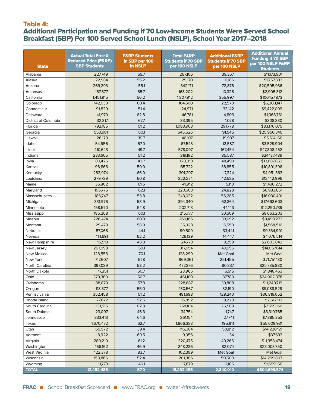### Table 4:

# Additional Participation and Funding if 70 Low-Income Students Were Served School Breakfast (SBP) Per 100 Served School Lunch (NSLP), School Year 2017–2018

| <b>State</b>         | <b>Actual Total Free &amp;</b><br><b>Reduced Price (F&amp;RP)</b><br><b>SBP Students</b> | <b>F&amp;RP Students</b><br>in SBP per 100<br>in NSLP | <b>Total F&amp;RP</b><br><b>Students if 70 SBP</b><br>per 100 NSLP | <b>Additional F&amp;RP</b><br><b>Students if 70 SBP</b><br>per 100 NSLP | <b>Additional Annual</b><br><b>Funding if 70 SBP</b><br>per 100 NSLP F&RP |
|----------------------|------------------------------------------------------------------------------------------|-------------------------------------------------------|--------------------------------------------------------------------|-------------------------------------------------------------------------|---------------------------------------------------------------------------|
| Alabama              | 227,749                                                                                  | 59.7                                                  | 267,106                                                            | 39,357                                                                  | <b>Students</b><br>\$11,173,901                                           |
| Alaska               | 22,984                                                                                   | 55.2                                                  | 29,170                                                             | 6,186                                                                   | \$1,757,833                                                               |
| Arizona              | 269,293                                                                                  | 55.1                                                  | 342,171                                                            | 72,878                                                                  | \$20,595,936                                                              |
| Arkansas             | 157,877                                                                                  | 65.7                                                  | 168,202                                                            | 10,326                                                                  | \$2,905,312                                                               |
| California           | 1,451,915                                                                                | 56.2                                                  | 1,807,912                                                          | 355,997                                                                 | \$100,157,873                                                             |
| Colorado             | 142,030                                                                                  | 60.4                                                  | 164,600                                                            | 22,570                                                                  | \$6,308,147                                                               |
| Connecticut          | 91,829                                                                                   | 51.4                                                  | 124,971                                                            | 33,142                                                                  | \$9,422,009                                                               |
| Delaware             | 41,979                                                                                   | 62.8                                                  | 46,781                                                             | 4,803                                                                   | \$1,368,761                                                               |
| District of Columbia | 32,317                                                                                   | 67.7                                                  | 33.395                                                             | 1,078                                                                   | \$308,330                                                                 |
| Florida              | 792,185                                                                                  | 51.2                                                  | 1,083,963                                                          | 291,778                                                                 | \$83,176,075                                                              |
| Georgia              | 553,981                                                                                  | 60.1                                                  | 645,526                                                            | 91,545                                                                  | \$25,950,346                                                              |
| Hawaii               | 26,170                                                                                   | 39.7                                                  | 46,107                                                             | 19,937                                                                  | \$5,614,166                                                               |
| Idaho                | 54,956                                                                                   | 57.0                                                  | 67,543                                                             | 12,587                                                                  | \$3,529,904                                                               |
| Illinois             | 410,643                                                                                  | 49.7                                                  | 578,097                                                            | 167,454                                                                 | \$47,808,452                                                              |
| Indiana              | 233,605                                                                                  | 51.2                                                  | 319,192                                                            | 85,587                                                                  | \$24,137,489                                                              |
|                      |                                                                                          | 43.7                                                  |                                                                    |                                                                         |                                                                           |
| lowa                 | 80,426                                                                                   |                                                       | 128,918<br>135.722                                                 | 48,493                                                                  | \$13,687,853                                                              |
| Kansas<br>Kentucky   | 96,866                                                                                   | 50.0<br>66.0                                          | 301,297                                                            | 38,855<br>17,324                                                        | \$10,891,396<br>\$4,951,363                                               |
|                      | 283,974                                                                                  |                                                       |                                                                    |                                                                         |                                                                           |
| Louisiana            | 279,739                                                                                  | 60.8                                                  | 322,274                                                            | 42,535                                                                  | \$12,142,996                                                              |
| Maine                | 36,802                                                                                   | 61.5                                                  | 41,912                                                             | 5,110                                                                   | \$1,436,272                                                               |
| Maryland             | 195,775                                                                                  | 62.1                                                  | 220,603                                                            | 24,828                                                                  | \$6,983,851                                                               |
| Massachusetts        | 186,747                                                                                  | 53.8                                                  | 243,032                                                            | 56,285                                                                  | \$16,030,401                                                              |
| Michigan             | 331,976                                                                                  | 58.9                                                  | 394,340                                                            | 62,364                                                                  | \$17,693,603                                                              |
| Minnesota            | 158,570                                                                                  | 54.8                                                  | 202,713                                                            | 44,143                                                                  | \$12,290,739                                                              |
| Mississippi          | 185,268                                                                                  | 60.1                                                  | 215,777                                                            | 30,509                                                                  | \$8,663,203                                                               |
| Missouri             | 226,474                                                                                  | 60.9                                                  | 260,166                                                            | 33,692                                                                  | \$9,499,273                                                               |
| Montana              | 29,479                                                                                   | 58.9                                                  | 35,028                                                             | 5,550                                                                   | \$1,568,510                                                               |
| Nebraska             | 57,068                                                                                   | 44.1                                                  | 90,509                                                             | 33,441                                                                  | \$9,334,901                                                               |
| Nevada               | 114,691                                                                                  | 62.2                                                  | 129,139                                                            | 14,447                                                                  | \$4,076,514                                                               |
| New Hampshire        | 15,513                                                                                   | 43.8                                                  | 24,773                                                             | 9,259                                                                   | \$2,603,842                                                               |
| New Jersey           | 267,998                                                                                  | 59.1                                                  | 317,654                                                            | 49,656                                                                  | \$14,057,614                                                              |
| New Mexico           | 128,556                                                                                  | 70.1                                                  | 128.299                                                            | Met Goal                                                                | <b>Met Goal</b>                                                           |
| New York             | 717,607                                                                                  | 51.8                                                  | 969,061                                                            | 251.455                                                                 | \$71,751,180                                                              |
| North Carolina       | 397,039                                                                                  | 58.2                                                  | 477,376                                                            | 80.337                                                                  | \$22,785,880                                                              |
| North Dakota         | 17,351                                                                                   | 50.7                                                  | 23,965                                                             | 6,615                                                                   | \$1,848,463                                                               |
| Ohio                 | 373,380                                                                                  | 56.7                                                  | 461,169                                                            | 87,789                                                                  | \$24,902,378                                                              |
| Oklahoma             | 188,879                                                                                  | 57.8                                                  | 228,687                                                            | 39,808                                                                  | \$11,240,719                                                              |
| Oregon               | 118,377                                                                                  | 55.0                                                  | 150,567                                                            | 32,190                                                                  | \$9,088,529                                                               |
| Pennsylvania         | 352,458                                                                                  | 51.2                                                  | 481,698                                                            | 129,240                                                                 | \$36,819,052                                                              |
| Rhode Island         | 27,672                                                                                   | 52.5                                                  | 36,892                                                             | 9,220                                                                   | \$2,612,112                                                               |
| South Carolina       | 231,515                                                                                  | 62.8                                                  | 258,104                                                            | 26,589                                                                  | \$7,559,160                                                               |
| South Dakota         | 23,007                                                                                   | 46.3                                                  | 34,754                                                             | 11,747                                                                  | \$3,310,765                                                               |
| Tennessee            | 333,413                                                                                  | 64.6                                                  | 361,154                                                            | 27,741                                                                  | \$7,885,353                                                               |
| Texas                | 1,670,472                                                                                | 62.7                                                  | 1,866,383                                                          | 195,911                                                                 | \$55,609,931                                                              |
| Utah                 | 65,572                                                                                   | 39.4                                                  | 116,384                                                            | 50,812                                                                  | \$14,220,121                                                              |
| Vermont              | 18,922                                                                                   | 69.5                                                  | 19,056                                                             | 134                                                                     | \$37,633                                                                  |
| Virginia             | 280,210                                                                                  | 61.2                                                  | 320,475                                                            | 40,266                                                                  | \$11,358,474                                                              |
| Washington           | 166,162                                                                                  | 46.9                                                  | 248,236                                                            | 82,074                                                                  | \$23,003,750                                                              |
| West Virginia        | 122,378                                                                                  | 83.7                                                  | 102,399                                                            | Met Goal                                                                | Met Goal                                                                  |
| Wisconsin            | 150,866                                                                                  | 52.4                                                  | 201,366                                                            | 50,500                                                                  | \$14,299,807                                                              |
| Wyoming              | 11,773                                                                                   | 46.1                                                  | 17,879                                                             | 6,106                                                                   | \$1,699,166                                                               |
| <b>TOTAL</b>         | 12,452,485                                                                               | 57.0                                                  | 15,292,495                                                         | 2,840,010                                                               | \$804,699,574                                                             |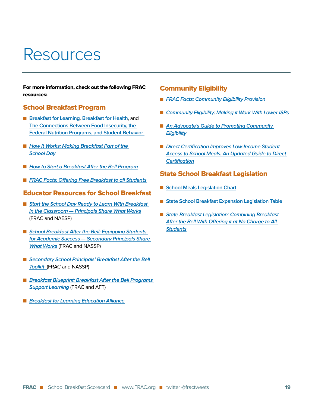# Resources

For more information, check out the following FRAC resources:

### School Breakfast Program

- **[Breakfast for Learning](http://frac.org/wp-content/uploads/breakfastforlearning-1.pdf), [Breakfast for Health](http://frac.org/wp-content/uploads/breakfastforhealth-1.pdf)**, and **[The Connections Between Food Insecurity, the](http://www.frac.org/wp-content/uploads/breakfast-for-behavior.pdf)  [Federal Nutrition Programs, and Student Behavior](http://www.frac.org/wp-content/uploads/breakfast-for-behavior.pdf)**
- How It Works: Making Breakfast Part of the **[School Day](http://frac.org/wp-content/uploads/how_it_works_bic_fact_sheet.pdf)**
- [How to Start a Breakfast After the Bell Program](http://www.frac.org/wp-content/uploads/how-to-start-a-breakfast-after-the-bell-program.pdf)
- **[FRAC Facts: Offering Free Breakfast to all Students](http://frac.org/wp-content/uploads/frac-facts-offering-free-breakfast-to-all-students.pdf)**

### Educator Resources for School Breakfast

- Start the School Day Ready to Learn With Breakfast **[in the Classroom — Principals Share What Works](http://frac.org/wp-content/uploads/frac_naespf_bic_principals_report2013.pdf)** (FRAC and NAESP)
- School Breakfast After the Bell: Equipping Students **[for Academic Success — Secondary Principals Share](http://frac.org/wp-content/uploads/secondary-principals-bic-report.pdf)  [What Works](http://frac.org/wp-content/uploads/secondary-principals-bic-report.pdf)** (FRAC and NASSP)
- Secondary School Principals' Breakfast After the Bell **[Toolkit](http://www.frac.org/wp-content/uploads/secondary-principals-sbp-after-the-bell-toolkit-1.pdf)** (FRAC and NASSP)
- **Breakfast Blueprint: Breakfast After the Bell Programs [Support Learning](http://frac.org/wp-content/uploads/breakfast-blueprint-report-july2017.pdf)** (FRAC and AFT)
- **[Breakfast for Learning Education Alliance](http://frac.org/wp-content/uploads/breakfast-for-learning-education-alliance-statement.pdf)**

### Community Eligibility

- **[FRAC Facts: Community Eligibility Provision](http://frac.org/wp-content/uploads/frac-facts-community-eligibility-provision.pdf)**
- [Community Eligibility: Making it Work With Lower ISPs](http://www.frac.org/wp-content/uploads/making-cep-work-with-lower-isps.pdf)
- An Advocate's Guide to Promoting Community **[Eligibility](http://frac.org/wp-content/uploads/2016/10/cep-advocates-guide.pdf)**
- Direct Certification Improves Low-Income Student **[Access to School Meals: An Updated Guide to Direct](http://frac.org/wp-content/uploads/direct-cert-improves-low-income-school-meal-access.pdf)  [Certification](http://frac.org/wp-content/uploads/direct-cert-improves-low-income-school-meal-access.pdf)**

## State School Breakfast Legislation

- **n** [School Meals Legislation Chart](http://frac.org/wp-content/uploads/state_leg_table_scorecard.pdf)
- [State School Breakfast Expansion Legislation Table](http://www.frac.org/wp-content/uploads/state-school-breakfast-expansion-legislation-table.pdf)
- State Breakfast Legislation: Combining Breakfast **[After the Bell With Offering it at No Charge to All](http://www.frac.org/wp-content/uploads/state-bkfst-leg-combining-free-with-breakfast-after-bell.pdf)  [Students](http://www.frac.org/wp-content/uploads/state-bkfst-leg-combining-free-with-breakfast-after-bell.pdf)**